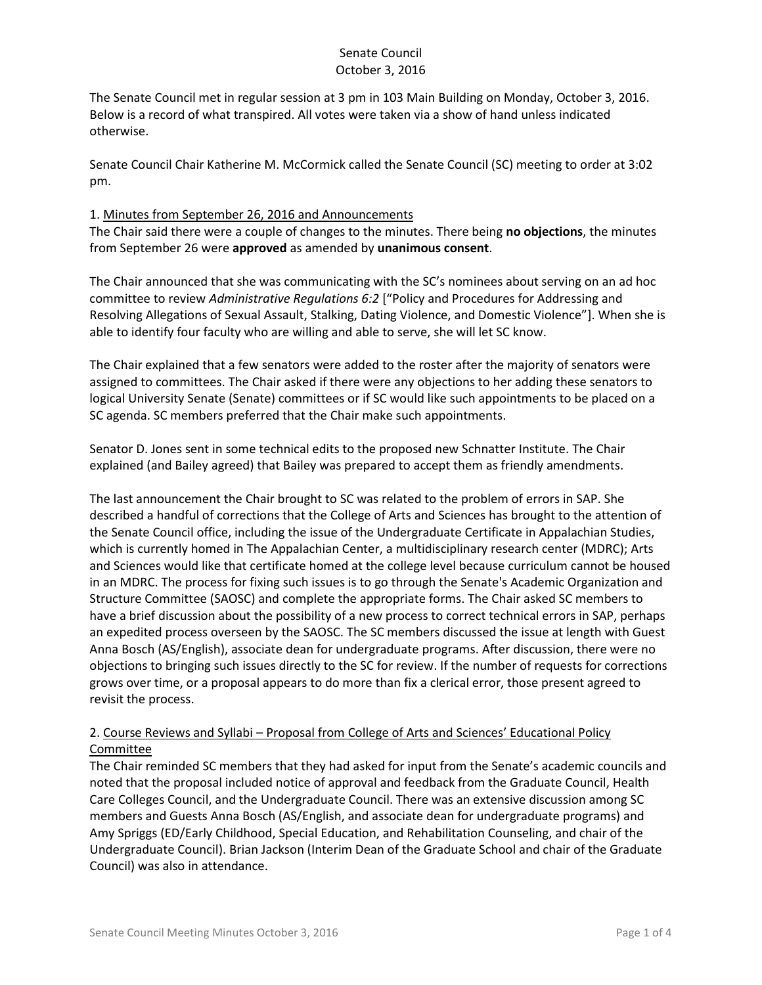The Senate Council met in regular session at 3 pm in 103 Main Building on Monday, October 3, 2016. Below is a record of what transpired. All votes were taken via a show of hand unless indicated otherwise.

Senate Council Chair Katherine M. McCormick called the Senate Council (SC) meeting to order at 3:02 pm.

### 1. Minutes from September 26, 2016 and Announcements

The Chair said there were a couple of changes to the minutes. There being **no objections**, the minutes from September 26 were **approved** as amended by **unanimous consent**.

The Chair announced that she was communicating with the SC's nominees about serving on an ad hoc committee to review *Administrative Regulations 6:2* ["Policy and Procedures for Addressing and Resolving Allegations of Sexual Assault, Stalking, Dating Violence, and Domestic Violence"]. When she is able to identify four faculty who are willing and able to serve, she will let SC know.

The Chair explained that a few senators were added to the roster after the majority of senators were assigned to committees. The Chair asked if there were any objections to her adding these senators to logical University Senate (Senate) committees or if SC would like such appointments to be placed on a SC agenda. SC members preferred that the Chair make such appointments.

Senator D. Jones sent in some technical edits to the proposed new Schnatter Institute. The Chair explained (and Bailey agreed) that Bailey was prepared to accept them as friendly amendments.

The last announcement the Chair brought to SC was related to the problem of errors in SAP. She described a handful of corrections that the College of Arts and Sciences has brought to the attention of the Senate Council office, including the issue of the Undergraduate Certificate in Appalachian Studies, which is currently homed in The Appalachian Center, a multidisciplinary research center (MDRC); Arts and Sciences would like that certificate homed at the college level because curriculum cannot be housed in an MDRC. The process for fixing such issues is to go through the Senate's Academic Organization and Structure Committee (SAOSC) and complete the appropriate forms. The Chair asked SC members to have a brief discussion about the possibility of a new process to correct technical errors in SAP, perhaps an expedited process overseen by the SAOSC. The SC members discussed the issue at length with Guest Anna Bosch (AS/English), associate dean for undergraduate programs. After discussion, there were no objections to bringing such issues directly to the SC for review. If the number of requests for corrections grows over time, or a proposal appears to do more than fix a clerical error, those present agreed to revisit the process.

## 2. Course Reviews and Syllabi – Proposal from College of Arts and Sciences' Educational Policy **Committee**

The Chair reminded SC members that they had asked for input from the Senate's academic councils and noted that the proposal included notice of approval and feedback from the Graduate Council, Health Care Colleges Council, and the Undergraduate Council. There was an extensive discussion among SC members and Guests Anna Bosch (AS/English, and associate dean for undergraduate programs) and Amy Spriggs (ED/Early Childhood, Special Education, and Rehabilitation Counseling, and chair of the Undergraduate Council). Brian Jackson (Interim Dean of the Graduate School and chair of the Graduate Council) was also in attendance.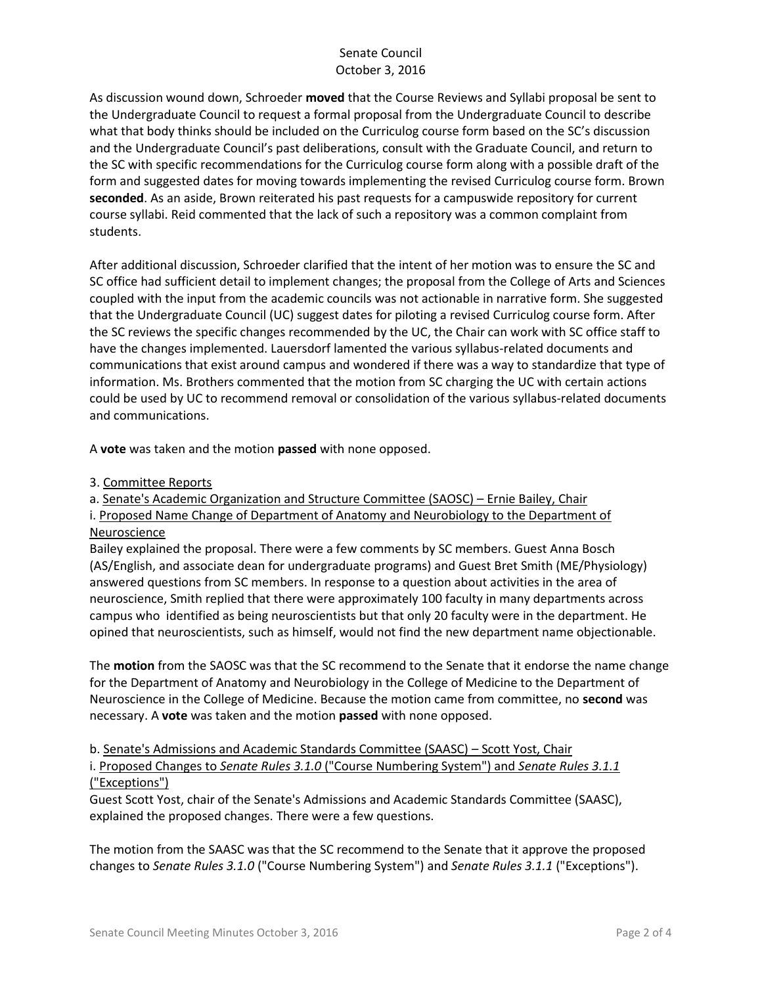As discussion wound down, Schroeder **moved** that the Course Reviews and Syllabi proposal be sent to the Undergraduate Council to request a formal proposal from the Undergraduate Council to describe what that body thinks should be included on the Curriculog course form based on the SC's discussion and the Undergraduate Council's past deliberations, consult with the Graduate Council, and return to the SC with specific recommendations for the Curriculog course form along with a possible draft of the form and suggested dates for moving towards implementing the revised Curriculog course form. Brown **seconded**. As an aside, Brown reiterated his past requests for a campuswide repository for current course syllabi. Reid commented that the lack of such a repository was a common complaint from students.

After additional discussion, Schroeder clarified that the intent of her motion was to ensure the SC and SC office had sufficient detail to implement changes; the proposal from the College of Arts and Sciences coupled with the input from the academic councils was not actionable in narrative form. She suggested that the Undergraduate Council (UC) suggest dates for piloting a revised Curriculog course form. After the SC reviews the specific changes recommended by the UC, the Chair can work with SC office staff to have the changes implemented. Lauersdorf lamented the various syllabus-related documents and communications that exist around campus and wondered if there was a way to standardize that type of information. Ms. Brothers commented that the motion from SC charging the UC with certain actions could be used by UC to recommend removal or consolidation of the various syllabus-related documents and communications.

A **vote** was taken and the motion **passed** with none opposed.

3. Committee Reports

a. Senate's Academic Organization and Structure Committee (SAOSC) – Ernie Bailey, Chair i. Proposed Name Change of Department of Anatomy and Neurobiology to the Department of Neuroscience

Bailey explained the proposal. There were a few comments by SC members. Guest Anna Bosch (AS/English, and associate dean for undergraduate programs) and Guest Bret Smith (ME/Physiology) answered questions from SC members. In response to a question about activities in the area of neuroscience, Smith replied that there were approximately 100 faculty in many departments across campus who identified as being neuroscientists but that only 20 faculty were in the department. He opined that neuroscientists, such as himself, would not find the new department name objectionable.

The **motion** from the SAOSC was that the SC recommend to the Senate that it endorse the name change for the Department of Anatomy and Neurobiology in the College of Medicine to the Department of Neuroscience in the College of Medicine. Because the motion came from committee, no **second** was necessary. A **vote** was taken and the motion **passed** with none opposed.

b. Senate's Admissions and Academic Standards Committee (SAASC) – Scott Yost, Chair i. Proposed Changes to *Senate Rules 3.1.0* ("Course Numbering System") and *Senate Rules 3.1.1* ("Exceptions")

Guest Scott Yost, chair of the Senate's Admissions and Academic Standards Committee (SAASC), explained the proposed changes. There were a few questions.

The motion from the SAASC was that the SC recommend to the Senate that it approve the proposed changes to *Senate Rules 3.1.0* ("Course Numbering System") and *Senate Rules 3.1.1* ("Exceptions").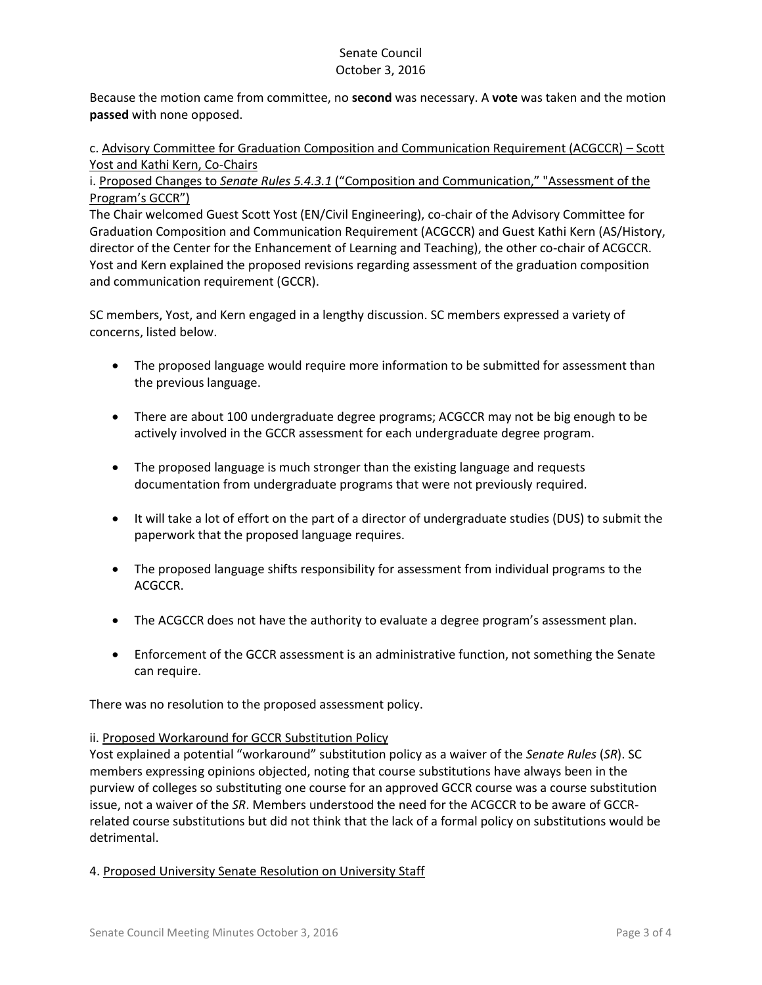Because the motion came from committee, no **second** was necessary. A **vote** was taken and the motion **passed** with none opposed.

c. Advisory Committee for Graduation Composition and Communication Requirement (ACGCCR) – Scott Yost and Kathi Kern, Co-Chairs

i. Proposed Changes to *Senate Rules 5.4.3.1* ("Composition and Communication," "Assessment of the Program's GCCR")

The Chair welcomed Guest Scott Yost (EN/Civil Engineering), co-chair of the Advisory Committee for Graduation Composition and Communication Requirement (ACGCCR) and Guest Kathi Kern (AS/History, director of the Center for the Enhancement of Learning and Teaching), the other co-chair of ACGCCR. Yost and Kern explained the proposed revisions regarding assessment of the graduation composition and communication requirement (GCCR).

SC members, Yost, and Kern engaged in a lengthy discussion. SC members expressed a variety of concerns, listed below.

- The proposed language would require more information to be submitted for assessment than the previous language.
- There are about 100 undergraduate degree programs; ACGCCR may not be big enough to be actively involved in the GCCR assessment for each undergraduate degree program.
- The proposed language is much stronger than the existing language and requests documentation from undergraduate programs that were not previously required.
- It will take a lot of effort on the part of a director of undergraduate studies (DUS) to submit the paperwork that the proposed language requires.
- The proposed language shifts responsibility for assessment from individual programs to the ACGCCR.
- The ACGCCR does not have the authority to evaluate a degree program's assessment plan.
- Enforcement of the GCCR assessment is an administrative function, not something the Senate can require.

There was no resolution to the proposed assessment policy.

#### ii. Proposed Workaround for GCCR Substitution Policy

Yost explained a potential "workaround" substitution policy as a waiver of the *Senate Rules* (*SR*). SC members expressing opinions objected, noting that course substitutions have always been in the purview of colleges so substituting one course for an approved GCCR course was a course substitution issue, not a waiver of the *SR*. Members understood the need for the ACGCCR to be aware of GCCRrelated course substitutions but did not think that the lack of a formal policy on substitutions would be detrimental.

#### 4. Proposed University Senate Resolution on University Staff